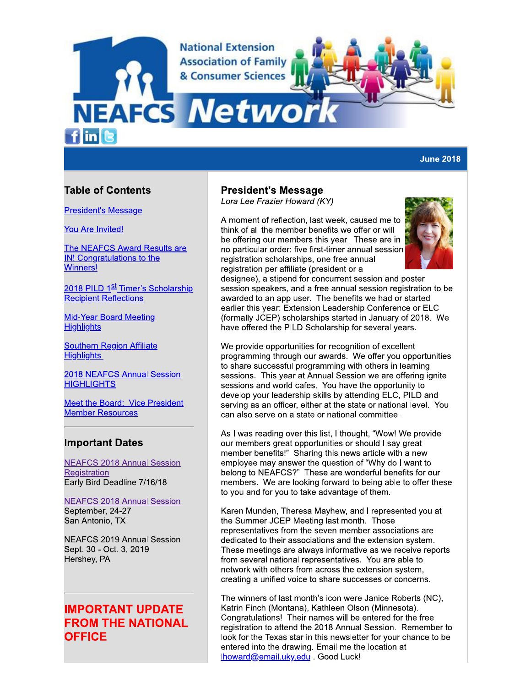**National Extension Association of Family** & Consumer Sciences

# **NEAFCS Netwo**

 $f$  in  $\left[ \mathbf{e}\right]$ 

# **June 2018**

# **Table of Contents**

**President's Message** 

You Are Invited!

The NEAFCS Award Results are **IN! Congratulations to the Winners!** 

2018 PILD 1<sup>st</sup> Timer's Scholarship **Recipient Reflections** 

**Mid-Year Board Meeting Highlights** 

**Southern Region Affiliate Highlights** 

**2018 NEAFCS Annual Session HIGHLIGHTS** 

**Meet the Board: Vice President Member Resources** 

# **Important Dates**

**NEAFCS 2018 Annual Session Registration** Early Bird Deadline 7/16/18

**NEAFCS 2018 Annual Session** September, 24-27 San Antonio, TX

**NEAFCS 2019 Annual Session** Sept. 30 - Oct. 3, 2019 Hershey, PA

# **IMPORTANT UPDATE FROM THE NATIONAL OFFICE**

# **President's Message**

Lora Lee Frazier Howard (KY)

A moment of reflection, last week, caused me to think of all the member benefits we offer or will be offering our members this year. These are in no particular order: five first-timer annual session registration scholarships, one free annual registration per affiliate (president or a



designee), a stipend for concurrent session and poster session speakers, and a free annual session registration to be awarded to an app user. The benefits we had or started earlier this year: Extension Leadership Conference or ELC (formally JCEP) scholarships started in January of 2018. We have offered the PILD Scholarship for several years.

We provide opportunities for recognition of excellent programming through our awards. We offer you opportunities to share successful programming with others in learning sessions. This year at Annual Session we are offering ignite sessions and world cafes. You have the opportunity to develop your leadership skills by attending ELC, PILD and serving as an officer, either at the state or national level. You can also serve on a state or national committee.

As I was reading over this list, I thought, "Wow! We provide our members great opportunities or should I say great member benefits!" Sharing this news article with a new employee may answer the question of "Why do I want to belong to NEAFCS?" These are wonderful benefits for our members. We are looking forward to being able to offer these to you and for you to take advantage of them.

Karen Munden, Theresa Mayhew, and I represented you at the Summer JCEP Meeting last month. Those representatives from the seven member associations are dedicated to their associations and the extension system. These meetings are always informative as we receive reports from several national representatives. You are able to network with others from across the extension system. creating a unified voice to share successes or concerns.

The winners of last month's icon were Janice Roberts (NC). Katrin Finch (Montana), Kathleen Olson (Minnesota). Congratulations! Their names will be entered for the free registration to attend the 2018 Annual Session. Remember to look for the Texas star in this newsletter for your chance to be entered into the drawing. Email me the location at lhoward@email.uky.edu . Good Luck!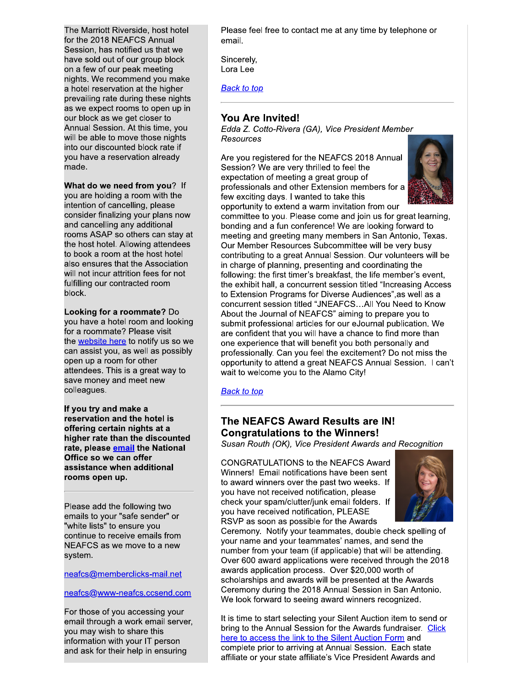The Marriott Riverside, host hotel for the 2018 NEAFCS Annual Session, has notified us that we have sold out of our group block on a few of our peak meeting nights. We recommend you make a hotel reservation at the higher prevailing rate during these nights as we expect rooms to open up in our block as we get closer to Annual Session. At this time, you will be able to move those nights into our discounted block rate if you have a reservation already made.

What do we need from you? If you are holding a room with the intention of cancelling, please consider finalizing your plans now and cancelling any additional rooms ASAP so others can stay at the host hotel. Allowing attendees to book a room at the host hotel also ensures that the Association will not incur attrition fees for not fulfilling our contracted room block.

Looking for a roommate? Do you have a hotel room and looking for a roommate? Please visit the website here to notify us so we can assist you, as well as possibly open up a room for other attendees. This is a great way to save money and meet new colleagues.

If you try and make a reservation and the hotel is offering certain nights at a higher rate than the discounted rate, please email the National Office so we can offer assistance when additional rooms open up.

Please add the following two emails to your "safe sender" or "white lists" to ensure you continue to receive emails from NEAFCS as we move to a new system.

neafcs@memberclicks-mail.net

### neafcs@www-neafcs.ccsend.com

For those of you accessing your email through a work email server, you may wish to share this information with your IT person and ask for their help in ensuring

Please feel free to contact me at any time by telephone or email.

Sincerely, Lora Lee

**Back to top** 

# **You Are Invited!**

Edda Z. Cotto-Rivera (GA), Vice President Member Resources

Are you registered for the NEAFCS 2018 Annual Session? We are very thrilled to feel the expectation of meeting a great group of professionals and other Extension members for a few exciting days. I wanted to take this opportunity to extend a warm invitation from our



committee to you. Please come and join us for great learning, bonding and a fun conference! We are looking forward to meeting and greeting many members in San Antonio. Texas. Our Member Resources Subcommittee will be very busy contributing to a great Annual Session. Our volunteers will be in charge of planning, presenting and coordinating the following: the first timer's breakfast, the life member's event, the exhibit hall, a concurrent session titled "Increasing Access" to Extension Programs for Diverse Audiences", as well as a concurrent session titled "JNEAFCS...All You Need to Know About the Journal of NEAFCS" aiming to prepare you to submit professional articles for our eJournal publication. We are confident that you will have a chance to find more than one experience that will benefit you both personally and professionally. Can you feel the excitement? Do not miss the opportunity to attend a great NEAFCS Annual Session. I can't wait to welcome you to the Alamo City!

# **Back to top**

# The NEAFCS Award Results are IN! **Congratulations to the Winners!**

Susan Routh (OK), Vice President Awards and Recognition

**CONGRATULATIONS to the NEAFCS Award** Winners! Email notifications have been sent to award winners over the past two weeks. If you have not received notification, please check your spam/clutter/junk email folders. If you have received notification, PLEASE RSVP as soon as possible for the Awards



Ceremony. Notify your teammates, double check spelling of your name and your teammates' names, and send the number from your team (if applicable) that will be attending. Over 600 award applications were received through the 2018 awards application process. Over \$20,000 worth of scholarships and awards will be presented at the Awards Ceremony during the 2018 Annual Session in San Antonio. We look forward to seeing award winners recognized.

It is time to start selecting your Silent Auction item to send or bring to the Annual Session for the Awards fundraiser. Click here to access the link to the Silent Auction Form and complete prior to arriving at Annual Session. Each state affiliate or your state affiliate's Vice President Awards and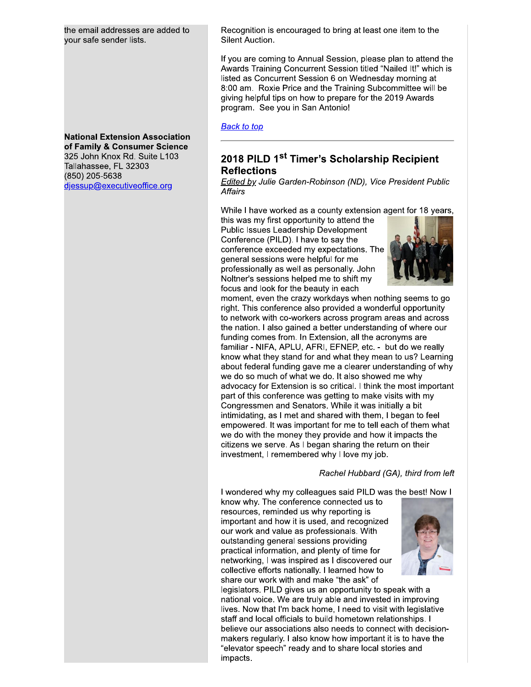the email addresses are added to your safe sender lists.

Awar<br>
listed<br>
8:00<br>
giving<br>
9:00<br>
giving<br>
9:00<br>
giving<br>
9:00<br>
giving<br>
9:00<br>
giving<br>
progr<br>
progr<br> **Back**<br>
8:00<br> **Sack**<br> **Progrim Back**<br>
2018<br>
Tallahassee, FL 32303<br>
(850) 205-5638<br>
<u>Giessup@executiveoffice.org<br>
Edite</u><br>
Aff 325 John Knox Rd. Suite L103 3 --450()(2( (850) 205-5638 <u>djessup@executiveoffice.org</u>

Recognition is encouraged to bring at least one item to the Silent Auction.

if you are coming to Annual Session, please plan to attend the Awards Training Concurrent Session titled "Nalled It!" Which is listed as Concurrent Session 6 on Wednesday morning at  $8.00$  am. Roxie Price and the Training Subcommittee will be giving neipful tips on now to prepare for the 2019 Awards program. See you in San Antonio! If you alle coming to Affilian Session, please plain to attend the<br>Awards Training Concurrent Session titled "Nailed It" which is<br>Itsted as Concurrent Session 6 on Wednesday morning at<br>8:00 am. Roxie Price and the Training

**Back to top** 

I have worked as a county extension agent for 18 years,

this was my first opportunity to attend the  $\overline{\phantom{a}}$ Public Issues Leadership Development Conference (PILD). I have to say the conference exceeded my expectations. The  $\alpha$  general sessions were neiprul for me professionally as well as personally. John Nolther's sessions helped me to shift my focus and look for the beauty in each



moment, even the crazy workdays when hothing seems to go right. This conference also provided a wonderful opportunity to hetwork with co-workers across program areas and across the nation. I also gained a better understanding of where our runding comes from. In Extension, all the acronyms are familiar - NIFA, APLU, AFRI, EFNEP, etc. - "but do we really" know what they stand for and what they mean to us? Learning about federal funding gave me a clearer understanding of why we do so much of what we do. It also showed me why advocacy for Extension is so critical. I think the most important part of this conference was getting to make visits with my Congressmen and Senators. While it was initially a bit  $\ln$ timidating, as I met and snared with them, I began to feel Ļ. empowered. It was important for me to tell each of them what we do with the money they provide and how it impacts the  $\,$ citizens we serve. As I began sharing the return on their investment, i remembered wny i love my job.

Rachel Hubbard (GA), third from left

The Mondered Why my colleagues said PILD was the best! Now T

know wny. The conference connected us to resources, reminded us wny reporting is important and now it is used, and recognized our work and value as professionals, with outstanding general sessions providing practical information, and pienty of time for networking, I was inspired as I discovered our collective efforts nationally. I learned now to share our work with and make "the ask" of



legislators. PILD gives us an opportunity to speak with a hational voice. We are truly able and invested in improving lives. Now that I'm back home, I need to visit with legislative  $\frac{1}{2}$  staff and local officials to build nometown relationships. I believe our associations also needs to connect with decisionmakers regularly. I also know how important it is to have the "elevator speech" ready and to share local stories and impacts.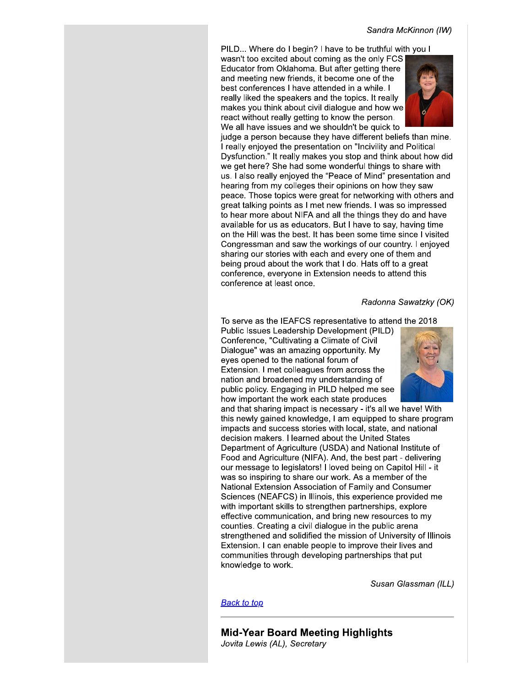PILD... Where do I begin? I have to be truthful with you I wasn't too excited about coming as the only FCS Educator from Oklahoma. But after getting there and meeting new friends, it become one of the best conferences I have attended in a while. I really liked the speakers and the topics. It really makes you think about civil dialogue and how we react without really getting to know the person. We all have issues and we shouldn't be quick to



judge a person because they have different beliefs than mine. I really enjoyed the presentation on "Incivility and Political Dysfunction." It really makes you stop and think about how did we get here? She had some wonderful things to share with us. I also really enjoyed the "Peace of Mind" presentation and hearing from my colleges their opinions on how they saw peace. Those topics were great for networking with others and great talking points as I met new friends. I was so impressed to hear more about NIFA and all the things they do and have available for us as educators. But I have to say, having time on the Hill was the best. It has been some time since I visited Congressman and saw the workings of our country. I enjoyed sharing our stories with each and every one of them and being proud about the work that I do. Hats off to a great conference, everyone in Extension needs to attend this conference at least once.

### Radonna Sawatzky (OK)

To serve as the IEAFCS representative to attend the 2018

Public Issues Leadership Development (PILD) Conference, "Cultivating a Climate of Civil Dialogue" was an amazing opportunity. My eves opened to the national forum of Extension. I met colleagues from across the nation and broadened my understanding of public policy. Engaging in PILD helped me see how important the work each state produces



and that sharing impact is necessary - it's all we have! With this newly gained knowledge, I am equipped to share program impacts and success stories with local, state, and national decision makers. I learned about the United States Department of Agriculture (USDA) and National Institute of Food and Agriculture (NIFA). And, the best part - delivering our message to legislators! I loved being on Capitol Hill - it was so inspiring to share our work. As a member of the National Extension Association of Family and Consumer Sciences (NEAFCS) in Illinois, this experience provided me with important skills to strengthen partnerships, explore effective communication, and bring new resources to my counties. Creating a civil dialogue in the public arena strengthened and solidified the mission of University of Illinois Extension. I can enable people to improve their lives and communities through developing partnerships that put knowledge to work.

Susan Glassman (ILL)

**Back to top** 

**Mid-Year Board Meeting Highlights** Jovita Lewis (AL), Secretary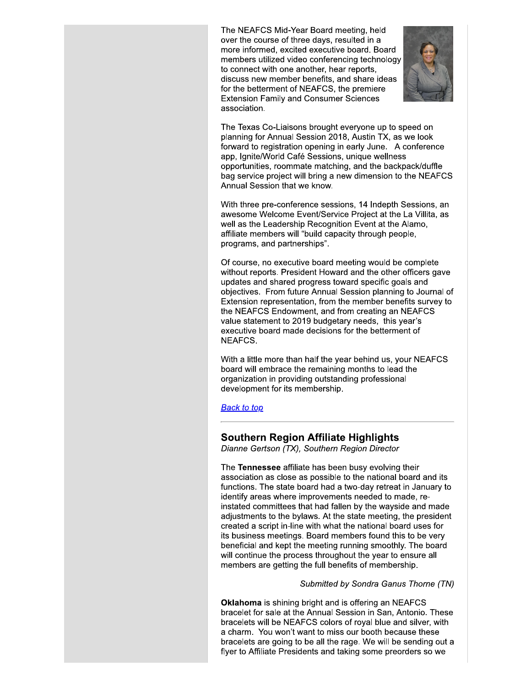The NEAFCS Mid-Year Board meeting, held over the course of three days, resulted in a more informed, excited executive board. Board members utilized video conferencing technology to connect with one another, hear reports, discuss new member benefits, and share ideas for the betterment of NEAFCS, the premiere **Extension Family and Consumer Sciences** association.



The Texas Co-Liaisons brought everyone up to speed on planning for Annual Session 2018, Austin TX, as we look forward to registration opening in early June. A conference app, Ignite/World Café Sessions, unique wellness opportunities, roommate matching, and the backpack/duffle bag service project will bring a new dimension to the NEAFCS Annual Session that we know.

With three pre-conference sessions, 14 Indepth Sessions, an awesome Welcome Event/Service Project at the La Villita, as well as the Leadership Recognition Event at the Alamo, affiliate members will "build capacity through people, programs, and partnerships".

Of course, no executive board meeting would be complete without reports. President Howard and the other officers gave updates and shared progress toward specific goals and objectives. From future Annual Session planning to Journal of Extension representation, from the member benefits survey to the NEAFCS Endowment, and from creating an NEAFCS value statement to 2019 budgetary needs, this year's executive board made decisions for the betterment of NEAFCS.

With a little more than half the year behind us, your NEAFCS board will embrace the remaining months to lead the organization in providing outstanding professional development for its membership.

**Back to top** 

# Southern Region Affiliate Highlights

Dianne Gertson (TX), Southern Region Director

The Tennessee affiliate has been busy evolving their association as close as possible to the national board and its functions. The state board had a two-day retreat in January to identify areas where improvements needed to made, reinstated committees that had fallen by the wayside and made adjustments to the bylaws. At the state meeting, the president created a script in-line with what the national board uses for its business meetings. Board members found this to be very beneficial and kept the meeting running smoothly. The board will continue the process throughout the year to ensure all members are getting the full benefits of membership.

Submitted by Sondra Ganus Thorne (TN)

**Oklahoma** is shining bright and is offering an NEAFCS bracelet for sale at the Annual Session in San, Antonio. These bracelets will be NEAFCS colors of royal blue and silver, with a charm. You won't want to miss our booth because these bracelets are going to be all the rage. We will be sending out a flyer to Affiliate Presidents and taking some preorders so we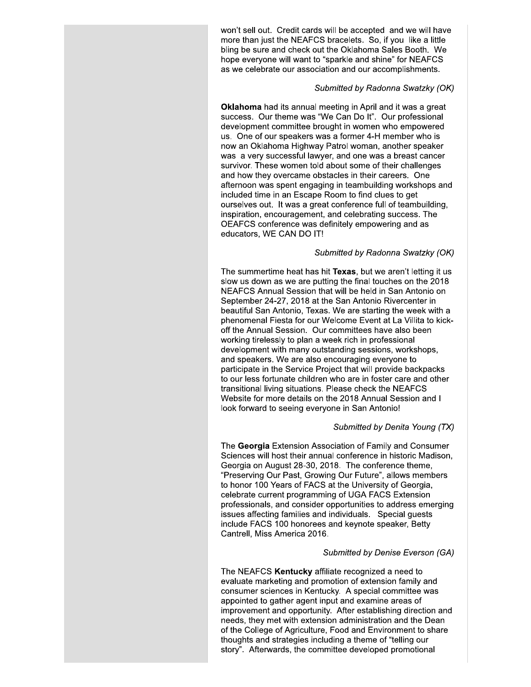won't sell out. Credit cards will be accepted and we will have more than just the NEAFCS bracelets. So, if you like a little bling be sure and check out the Oklahoma Sales Booth. We hope everyone will want to "sparkle and shine" for NEAFCS as we celebrate our association and our accomplishments.

### Submitted by Radonna Swatzky (OK)

**Oklahoma** had its annual meeting in April and it was a great success. Our theme was "We Can Do It". Our professional development committee brought in women who empowered us. One of our speakers was a former 4-H member who is now an Oklahoma Highway Patrol woman, another speaker was a very successful lawyer, and one was a breast cancer survivor. These women told about some of their challenges and how they overcame obstacles in their careers. One afternoon was spent engaging in teambuilding workshops and included time in an Escape Room to find clues to get ourselves out. It was a great conference full of teambuilding, inspiration, encouragement, and celebrating success. The OEAFCS conference was definitely empowering and as educators, WE CAN DO IT!

### Submitted by Radonna Swatzky (OK)

The summertime heat has hit Texas, but we aren't letting it us slow us down as we are putting the final touches on the 2018 NEAFCS Annual Session that will be held in San Antonio on September 24-27, 2018 at the San Antonio Rivercenter in beautiful San Antonio, Texas. We are starting the week with a phenomenal Fiesta for our Welcome Event at La Villita to kickoff the Annual Session. Our committees have also been working tirelessly to plan a week rich in professional development with many outstanding sessions, workshops, and speakers. We are also encouraging everyone to participate in the Service Project that will provide backpacks to our less fortunate children who are in foster care and other transitional living situations. Please check the NEAFCS Website for more details on the 2018 Annual Session and I look forward to seeing everyone in San Antonio!

### Submitted by Denita Young (TX)

The Georgia Extension Association of Family and Consumer Sciences will host their annual conference in historic Madison, Georgia on August 28-30, 2018. The conference theme, "Preserving Our Past, Growing Our Future", allows members to honor 100 Years of FACS at the University of Georgia, celebrate current programming of UGA FACS Extension professionals, and consider opportunities to address emerging issues affecting families and individuals. Special guests include FACS 100 honorees and keynote speaker, Betty Cantrell, Miss America 2016.

### Submitted by Denise Everson (GA)

The NEAFCS Kentucky affiliate recognized a need to evaluate marketing and promotion of extension family and consumer sciences in Kentucky. A special committee was appointed to gather agent input and examine areas of improvement and opportunity. After establishing direction and needs, they met with extension administration and the Dean of the College of Agriculture, Food and Environment to share thoughts and strategies including a theme of "telling our story". Afterwards, the committee developed promotional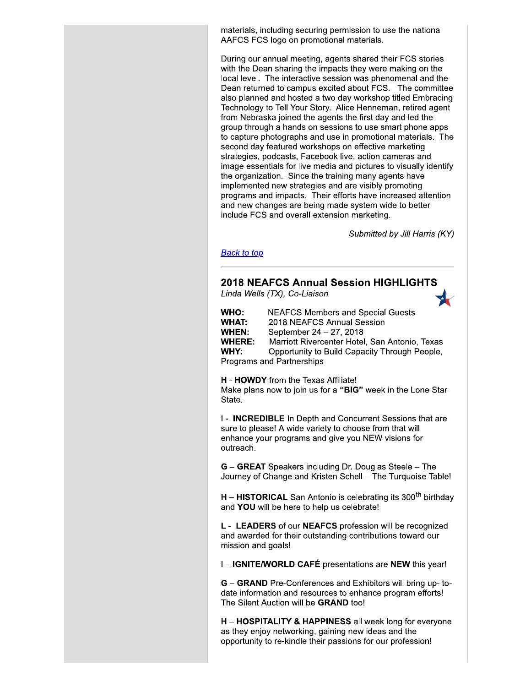materials, including securing permission to use the national AAFCS FCS logo on promotional materials.

During our annual meeting, agents shared their FCS stories with the Dean sharing the impacts they were making on the local level. The interactive session was phenomenal and the Dean returned to campus excited about FCS. The committee also planned and hosted a two day workshop titled Embracing Technology to Tell Your Story. Alice Henneman, retired agent from Nebraska joined the agents the first day and led the group through a hands on sessions to use smart phone apps to capture photographs and use in promotional materials. The second day featured workshops on effective marketing strategies, podcasts, Facebook live, action cameras and image essentials for live media and pictures to visually identify the organization. Since the training many agents have implemented new strategies and are visibly promoting programs and impacts. Their efforts have increased attention and new changes are being made system wide to better include FCS and overall extension marketing.

Submitted by Jill Harris (KY)

# **Back to top**

# **2018 NEAFCS Annual Session HIGHLIGHTS**

Linda Wells (TX), Co-Liaison

WHO: **NEAFCS Members and Special Guests** 2018 NEAFCS Annual Session **WHAT:** WHEN: September 24 - 27, 2018 Marriott Rivercenter Hotel, San Antonio, Texas **WHERE:** WHY: Opportunity to Build Capacity Through People, Programs and Partnerships

H - HOWDY from the Texas Affiliate!

Make plans now to join us for a "BIG" week in the Lone Star State.

**I - INCREDIBLE** In Depth and Concurrent Sessions that are sure to please! A wide variety to choose from that will enhance your programs and give you NEW visions for outreach.

**G** - GREAT Speakers including Dr. Douglas Steele - The Journey of Change and Kristen Schell - The Turquoise Table!

 $H - HISTORICAL$  San Antonio is celebrating its 300<sup>th</sup> birthday and YOU will be here to help us celebrate!

L - LEADERS of our NEAFCS profession will be recognized and awarded for their outstanding contributions toward our mission and goals!

I - IGNITE/WORLD CAFÉ presentations are NEW this year!

G - GRAND Pre-Conferences and Exhibitors will bring up-todate information and resources to enhance program efforts! The Silent Auction will be GRAND too!

H - HOSPITALITY & HAPPINESS all week long for everyone as they enjoy networking, gaining new ideas and the opportunity to re-kindle their passions for our profession!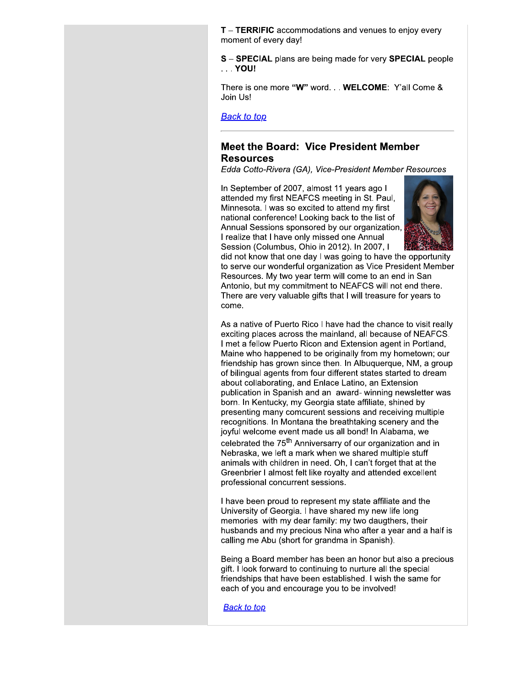**T** - **TERRIFIC** accommodations and venues to enjoy every moment of every day!

S - SPECIAL plans are being made for very SPECIAL people . . . YOU!

There is one more "W" word. . . WELCOME: Y'all Come & Join Us!

**Back to top** 

# **Meet the Board: Vice President Member Resources**

Edda Cotto-Rivera (GA), Vice-President Member Resources

In September of 2007, almost 11 years ago I attended my first NEAFCS meeting in St. Paul, Minnesota. I was so excited to attend my first national conference! Looking back to the list of Annual Sessions sponsored by our organization, I realize that I have only missed one Annual Session (Columbus, Ohio in 2012). In 2007, I



did not know that one day I was going to have the opportunity to serve our wonderful organization as Vice President Member Resources. My two year term will come to an end in San Antonio, but my commitment to NEAFCS will not end there. There are very valuable gifts that I will treasure for years to come.

As a native of Puerto Rico I have had the chance to visit really exciting places across the mainland, all because of NEAFCS. I met a fellow Puerto Ricon and Extension agent in Portland, Maine who happened to be originally from my hometown; our friendship has grown since then. In Albuquerque, NM, a group of bilingual agents from four different states started to dream about collaborating, and Enlace Latino, an Extension publication in Spanish and an award-winning newsletter was born. In Kentucky, my Georgia state affiliate, shined by presenting many comcurent sessions and receiving multiple recognitions. In Montana the breathtaking scenery and the joyful welcome event made us all bond! In Alabama, we celebrated the 75<sup>th</sup> Anniversarry of our organization and in Nebraska, we left a mark when we shared multiple stuff animals with children in need. Oh, I can't forget that at the Greenbrier I almost felt like royalty and attended excellent professional concurrent sessions.

I have been proud to represent my state affiliate and the University of Georgia. I have shared my new life long memories with my dear family: my two daugthers, their husbands and my precious Nina who after a year and a half is calling me Abu (short for grandma in Spanish).

Being a Board member has been an honor but also a precious gift. I look forward to continuing to nurture all the special friendships that have been established. I wish the same for each of you and encourage you to be involved!

**Back to top**